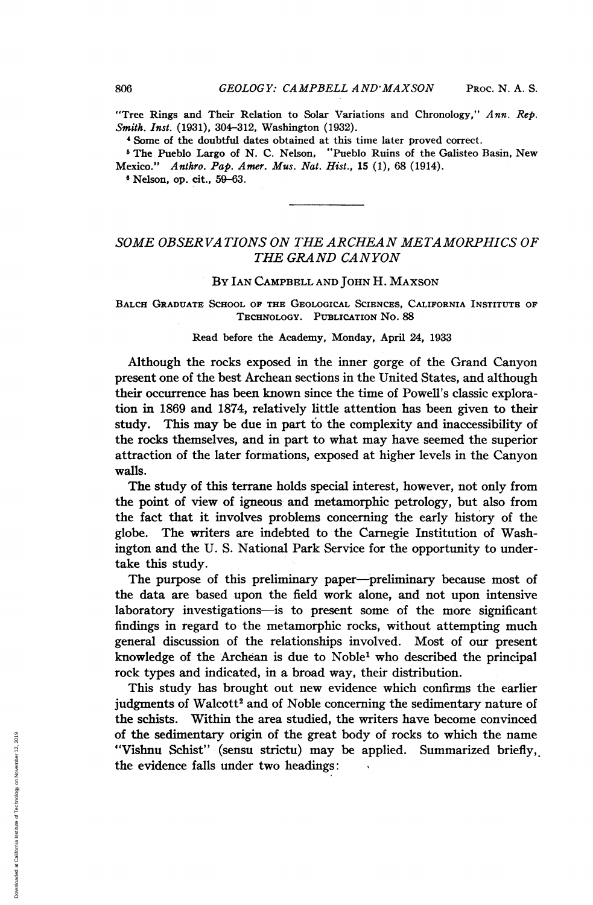"Tree Rings and Their Relation to Solar Variations and Chronology,"  $Ann. Rep.$ Smith. Inst. (1931), 304-312, Washington (1932).

<sup>4</sup> Some of the doubtful dates obtained at this time later proved correct.

<sup>5</sup> The Pueblo Largo of N. C. Nelson, "Pueblo Ruins of the Galisteo Basin, New Mexico." Anthro. Pap. Amer. Mus. Nat. Hist., 15 (1), 68 (1914).

<sup>6</sup> Nelson, op. cit., 59-63.

# SOME OBSERVA TIONS ON THE ARCHEAN METAMORPHICS OF THE GRAND CANYON

### By IAN CAMPBELL AND JOHN H. MAXSON

BALCH GRADUATE SCHOOL OF THE GEOLOGICAL SCIENCES, CALIFORNIA INSTITUTE OF TECHNOLOGY. PUBLICATION No. 88

## Read before the Academy, Monday, April 24, 1933

Although the rocks exposed in the inner gorge of the Grand Canyon present one of the best Archean sections in the United States, and although their occurrence has been known since the time of Powell's classic exploration in 1869 and 1874, relatively little attention has been given to their study. This may be due in part to the complexity and inaccessibility of the rocks themselves, and in part to what may have seemed the superior attraction of the later formations, exposed at higher levels in the Canyon walls.

The study of this terrane holds special interest, however, not only from the point of view of igneous and metamorphic petrology, but also from the fact that it involves problems concerning the early history of the globe. The writers are indebted to the Carnegie Institution of Washington and the U. S. National Park Service for the opportunity to undertake this study.

The purpose of this preliminary paper-preliminary because most of the data are based upon the field work alone, and not upon intensive laboratory investigations-is to present some of the more significant findings in regard to the metamorphic rocks, without attempting much general discussion of the relationships involved. Most of our present knowledge of the Archean is due to Noble<sup>1</sup> who described the principal rock types and indicated, in a broad way, their distribution.

This study has brought out new evidence which confirms the earlier judgments of Walcott<sup>2</sup> and of Noble concerning the sedimentary nature of the schists. Within the area studied, the writers have become convinced of the sedimentary origin of the great body of rocks to which the name "Vishnu Schist" (sensu strictu) may be applied. Summarized briefly, the evidence falls under two headings: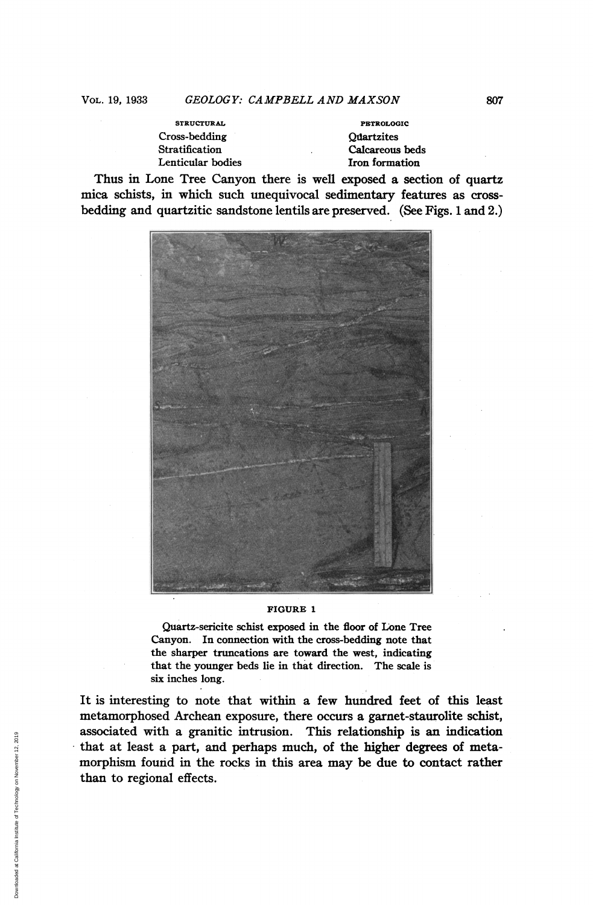STRUCTURAL **PETROLOGIC** Cross-bedding Quartzites Stratification Calcareous beds

Iron formation

Thus in Lone Tree Canyon there is well exposed a section of quartz mica schists, in which such unequivocal sedimentary features as crossbedding and quartzitic sandstone lentils are preserved. (See Figs. <sup>1</sup> and 2.)



#### FIGURE <sup>1</sup>

Quartz-sericite schist exposed in the floor of Lone Tree Canyon. In connection with the cross-bedding note that the sharper truncations are toward the west, indicating that the younger beds lie in that direction. The scale is six inches long.

It is interesting to note that within a few hundred feet of this least metamorphosed Archean exposure, there occurs a garnet-staurolite schist, associated with a granitic intrusion. This relationship is an indication that at least a part, and perhaps much, of the higher degrees of metamorphism found in the rocks in this area may be due to contact rather than to regional effects.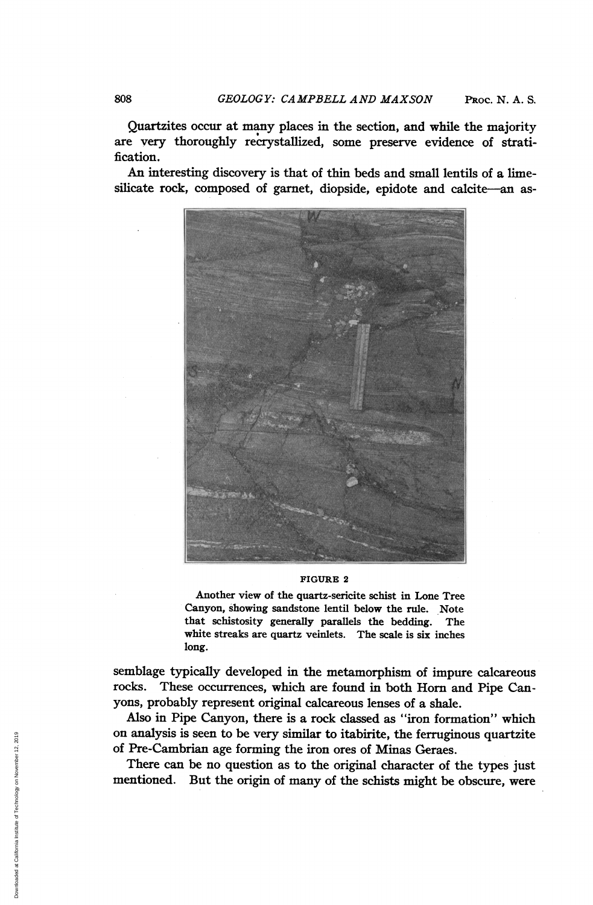Quartzites occur at many places in the section, and while the majority are very thoroughly recrystallized, some preserve evidence of stratification.

An interesting discovery is that of thin beds and small lentils of a limesilicate rock, composed of garnet, diopside, epidote and calcite-an as-



#### FIGURE <sup>2</sup>

Another view of the quartz-sericite schist in Lone Tree Canyon, showing sandstone lentil below the rule. Note that schistosity generally parallels the bedding. The white streaks are quartz veinlets. The scale is six inches long.

semblage typically developed in the metamorphism of impure calcareous rocks. These occurrences, which are found in both Horn and Pipe Canyons, probably represent original calcareous lenses of a shale.

Also in Pipe Canyon, there is a rock classed as "iron formation" which on analysis is seen to be very similar to itabirite, the ferruginous quartzite of Pre-Cambrian age forming the iron ores of Minas Geraes.

There can be no question as to the original character of the types just mentioned. But the origin of many of the schists might be obscure, were